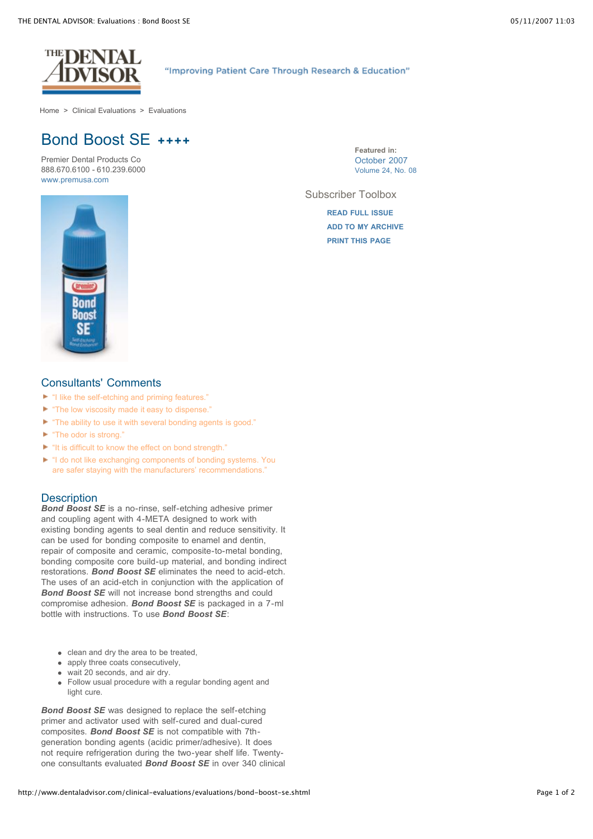

"Improving Patient Care Through Research & Education"

[Home](http://www.dentaladvisor.com/index.shtml) > Clinical [Evaluations](http://www.dentaladvisor.com/clinical-evaluations/index.shtml) > [Evaluations](http://www.dentaladvisor.com/clinical-evaluations/evaluations/index.shtml)

# Bond Boost SE **++++**

Premier Dental Products Co 888.670.6100 - 610.239.6000 [www.premusa.com](http://www.premusa.com/)

**Featured in:** [October](http://www.dentaladvisor.com/publications/the-dental-advisor/24-08.shtml) 2007 Volume 24, No. 08

Subscriber Toolbox

**READ FULL [ISSUE](http://www.dentaladvisor.com/publications/the-dental-advisor/24-08.shtml) ADD TO MY [ARCHIVE](http://www.dentaladvisor.com/my-account/archive/add-to-archive.shtml?type=clinicalEvaluation&url=%2Fclinical-evaluations%2Fevaluations%2Fbond-boost-se.shtml&title=Bond+Boost+SE) [PRINT THIS](http://www.dentaladvisor.com/clinical-evaluations/evaluations/bond-boost-se.shtml#) PAGE**



## Consultants' Comments

- "I like the self-etching and priming features."
- ► "The low viscosity made it easy to dispense."
- "The ability to use it with several bonding agents is good."
- ► "The odor is strong."
- "It is difficult to know the effect on bond strength."
- "I do not like exchanging components of bonding systems. You are safer staying with the manufacturers' recommendations."

# **Description**

*Bond Boost SE* is a no-rinse, self-etching adhesive primer and coupling agent with 4-META designed to work with existing bonding agents to seal dentin and reduce sensitivity. It can be used for bonding composite to enamel and dentin, repair of composite and ceramic, composite-to-metal bonding, bonding composite core build-up material, and bonding indirect restorations. *Bond Boost SE* eliminates the need to acid-etch. The uses of an acid-etch in conjunction with the application of *Bond Boost SE* will not increase bond strengths and could compromise adhesion. *Bond Boost SE* is packaged in a 7-ml bottle with instructions. To use *Bond Boost SE*:

- clean and dry the area to be treated,
- apply three coats consecutively.
- wait 20 seconds, and air dry.
- Follow usual procedure with a regular bonding agent and light cure.

*Bond Boost SE* was designed to replace the self-etching primer and activator used with self-cured and dual-cured composites. *Bond Boost SE* is not compatible with 7thgeneration bonding agents (acidic primer/adhesive). It does not require refrigeration during the two-year shelf life. Twentyone consultants evaluated *Bond Boost SE* in over 340 clinical